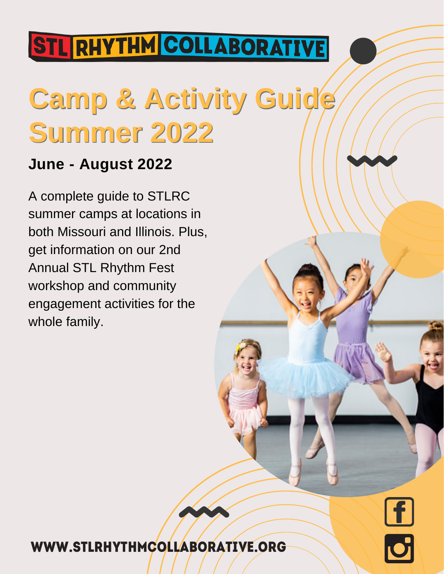## **STL RHYTHM COLLABORATIVE**

# **Camp & Activity Guide Summer 2022**

### **June - August 2022**

A complete guide to STLRC summer camps at locations in both Missouri and Illinois. Plus, get information on our 2nd Annual STL Rhythm Fest workshop and community engagement activities for the whole family.

### WWW.STLRHYTHMCOLLABORATIVE.ORG

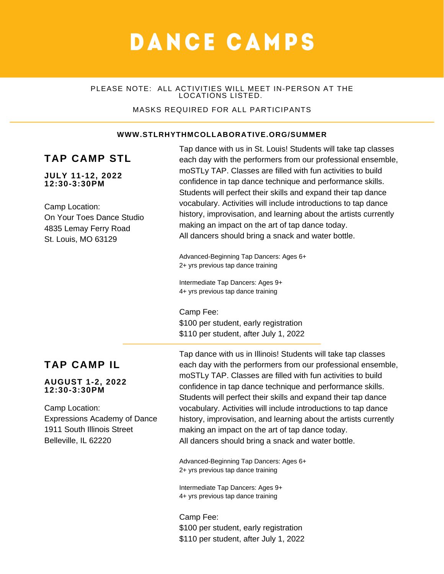### DANCE CAMPS

#### PLEASE NOTE: ALL ACTIVITIES WILL MEET IN-PERSON AT THE LOCATIONS LISTED.

#### MASKS REQUIRED FOR ALL PARTICIPANTS

#### **WWW.STLRHYTHMCOLLABORATIVE.ORG/SUMMER**

### **TAP CAMP STL**

#### **JULY 11-12, 2022 12:30-3:30PM**

Camp Location: On Your Toes Dance Studio 4835 Lemay Ferry Road St. Louis, MO 63129

Tap dance with us in St. Louis! Students will take tap classes each day with the performers from our professional ensemble, moSTLy TAP. Classes are filled with fun activities to build confidence in tap dance technique and performance skills. Students will perfect their skills and expand their tap dance vocabulary. Activities will include introductions to tap dance history, improvisation, and learning about the artists currently making an impact on the art of tap dance today. All dancers should bring a snack and water bottle.

Advanced-Beginning Tap Dancers: Ages 6+ 2+ yrs previous tap dance training

Intermediate Tap Dancers: Ages 9+ 4+ yrs previous tap dance training

Camp Fee:

\$100 per student, early registration \$110 per student, after July 1, 2022

### **TAP CAMP IL**

#### **AUGUST 1-2, 2022 12:30-3:30PM**

Camp Location: Expressions Academy of Dance 1911 South Illinois Street Belleville, IL 62220

Tap dance with us in Illinois! Students will take tap classes each day with the performers from our professional ensemble, moSTLy TAP. Classes are filled with fun activities to build confidence in tap dance technique and performance skills. Students will perfect their skills and expand their tap dance vocabulary. Activities will include introductions to tap dance history, improvisation, and learning about the artists currently making an impact on the art of tap dance today. All dancers should bring a snack and water bottle.

Advanced-Beginning Tap Dancers: Ages 6+ 2+ yrs previous tap dance training

Intermediate Tap Dancers: Ages 9+ 4+ yrs previous tap dance training

Camp Fee: \$100 per student, early registration \$110 per student, after July 1, 2022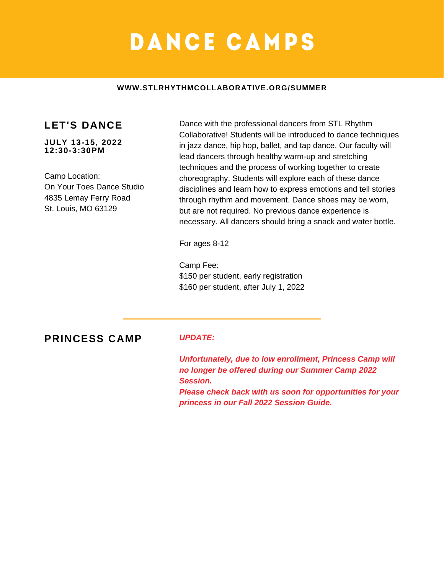### DANCE CAMPS

#### **WWW.STLRHYTHMCOLLABORATIVE.ORG/SUMMER**

### **LET'S DANCE**

**JULY 13-15, 2022 12:30-3:30PM**

Camp Location: On Your Toes Dance Studio 4835 Lemay Ferry Road St. Louis, MO 63129

Dance with the professional dancers from STL Rhythm Collaborative! Students will be introduced to dance techniques in jazz dance, hip hop, ballet, and tap dance. Our faculty will lead dancers through healthy warm-up and stretching techniques and the process of working together to create choreography. Students will explore each of these dance disciplines and learn how to express emotions and tell stories through rhythm and movement. Dance shoes may be worn, but are not required. No previous dance experience is necessary. All dancers should bring a snack and water bottle.

For ages 8-12

Camp Fee: \$150 per student, early registration \$160 per student, after July 1, 2022

**PRINCESS CAMP** *UPDATE:*

*Unfortunately, due to low enrollment, Princess Camp will no longer be offered during our Summer Camp 2022 Session. Please check back with us soon for opportunities for your princess in our Fall 2022 Session Guide.*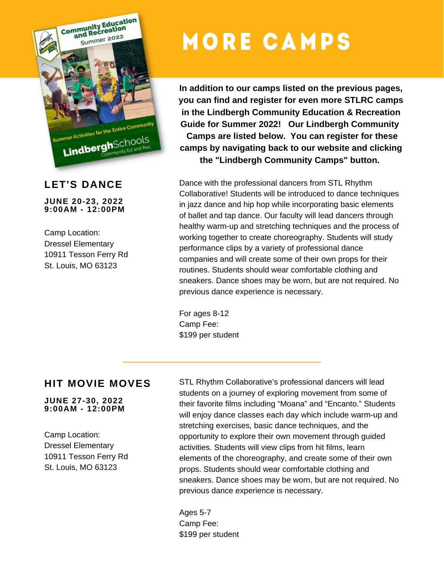

### **LET'S DANCE**

**JUNE 20-23, 2022 9:00AM - 12:00PM**

Camp Location: Dressel Elementary 10911 Tesson Ferry Rd St. Louis, MO 63123

## **MORE CAMPS**

**In addition to our camps listed on the previous pages, you can find and register for even more STLRC camps in the Lindbergh Community Education & Recreation Guide for Summer 2022! Our Lindbergh Community Camps are listed below. You can register for these camps by navigating back to our website and clicking the "Lindbergh Community Camps" button.**

Dance with the professional dancers from STL Rhythm Collaborative! Students will be introduced to dance techniques in jazz dance and hip hop while incorporating basic elements of ballet and tap dance. Our faculty will lead dancers through healthy warm-up and stretching techniques and the process of working together to create choreography. Students will study performance clips by a variety of professional dance companies and will create some of their own props for their routines. Students should wear comfortable clothing and sneakers. Dance shoes may be worn, but are not required. No previous dance experience is necessary.

For ages 8-12 Camp Fee: \$199 per student

### **HIT MOVIE MOVES**

### **JUNE 27-30, 2022 9:00AM - 12:00PM**

Camp Location: Dressel Elementary 10911 Tesson Ferry Rd St. Louis, MO 63123

STL Rhythm Collaborative's professional dancers will lead students on a journey of exploring movement from some of their favorite films including "Moana" and "Encanto." Students will enjoy dance classes each day which include warm-up and stretching exercises, basic dance techniques, and the opportunity to explore their own movement through guided activities. Students will view clips from hit films, learn elements of the choreography, and create some of their own props. Students should wear comfortable clothing and sneakers. Dance shoes may be worn, but are not required. No previous dance experience is necessary.

Ages 5-7 Camp Fee: \$199 per student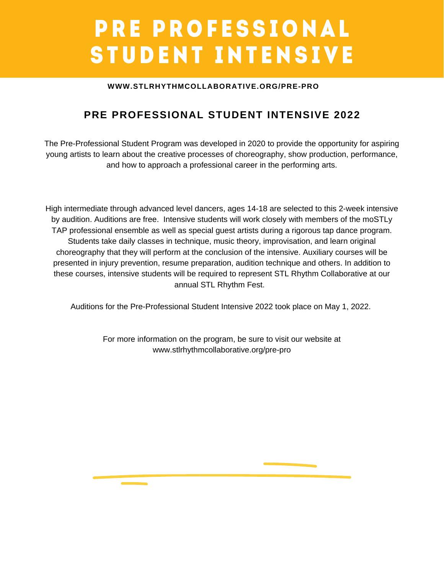### **PRE PROFESSIONAL** STUDENT INTENSIVE

### **WWW.STLRHYTHMCOLLABORATIVE.ORG/PRE-PRO**

### **PRE PROFESSIONAL STUDENT INTENSIVE 2022**

The Pre-Professional Student Program was developed in 2020 to provide the opportunity for aspiring young artists to learn about the creative processes of choreography, show production, performance, and how to approach a professional career in the performing arts.

High intermediate through advanced level dancers, ages 14-18 are selected to this 2-week intensive by audition. Auditions are free. Intensive students will work closely with members of the moSTLy TAP professional ensemble as well as special guest artists during a rigorous tap dance program. Students take daily classes in technique, music theory, improvisation, and learn original choreography that they will perform at the conclusion of the intensive. Auxiliary courses will be presented in injury prevention, resume preparation, audition technique and others. In addition to these courses, intensive students will be required to represent STL Rhythm Collaborative at our annual STL Rhythm Fest.

Auditions for the Pre-Professional Student Intensive 2022 took place on May 1, 2022.

For more information on the program, be sure to visit our website at www.stlrhythmcollaborative.org/pre-pro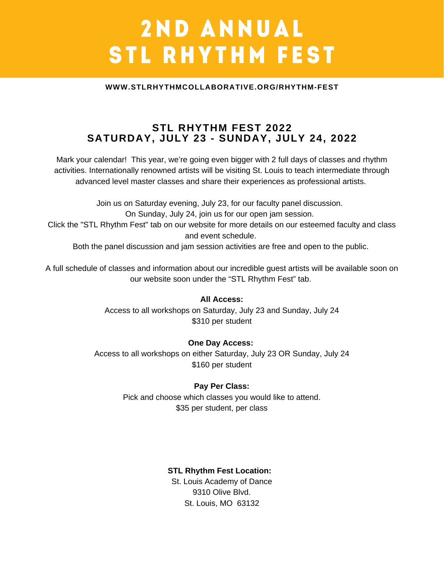### 2ND ANNUAL **STL RHYTHM FEST**

#### **WWW.STLRHYTHMCOLLABORATIVE.ORG/RHYTHM-FEST**

### **STL RHYTHM FEST 2022 SATURDAY, JULY 23 - SUNDAY, JULY 24, 2022**

Mark your calendar! This year, we're going even bigger with 2 full days of classes and rhythm activities. Internationally renowned artists will be visiting St. Louis to teach intermediate through advanced level master classes and share their experiences as professional artists.

Join us on Saturday evening, July 23, for our faculty panel discussion. On Sunday, July 24, join us for our open jam session. Click the "STL Rhythm Fest" tab on our website for more details on our esteemed faculty and class and event schedule. Both the panel discussion and jam session activities are free and open to the public.

A full schedule of classes and information about our incredible guest artists will be available soon on our website soon under the "STL Rhythm Fest" tab.

### **All Access:**

Access to all workshops on Saturday, July 23 and Sunday, July 24 \$310 per student

### **One Day Access:**

Access to all workshops on either Saturday, July 23 OR Sunday, July 24 \$160 per student

### **Pay Per Class:**

Pick and choose which classes you would like to attend. \$35 per student, per class

### **STL Rhythm Fest Location:**

St. Louis Academy of Dance 9310 Olive Blvd. St. Louis, MO 63132